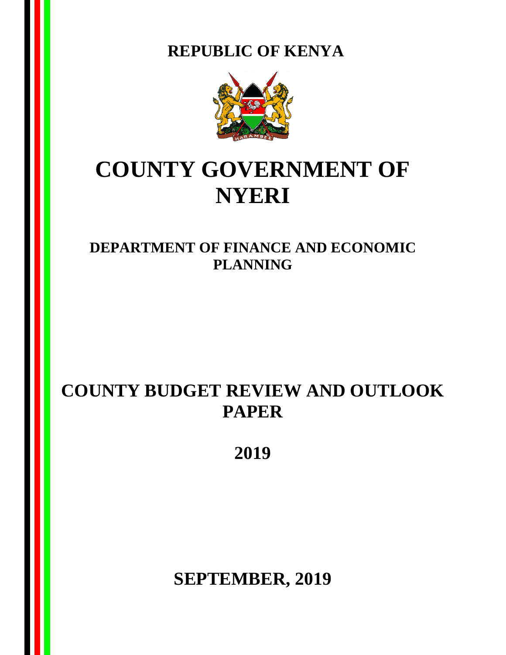**REPUBLIC OF KENYA**



# **COUNTY GOVERNMENT OF NYERI**

**DEPARTMENT OF FINANCE AND ECONOMIC PLANNING**

## **COUNTY BUDGET REVIEW AND OUTLOOK PAPER**

**2019**

**SEPTEMBER, 2019**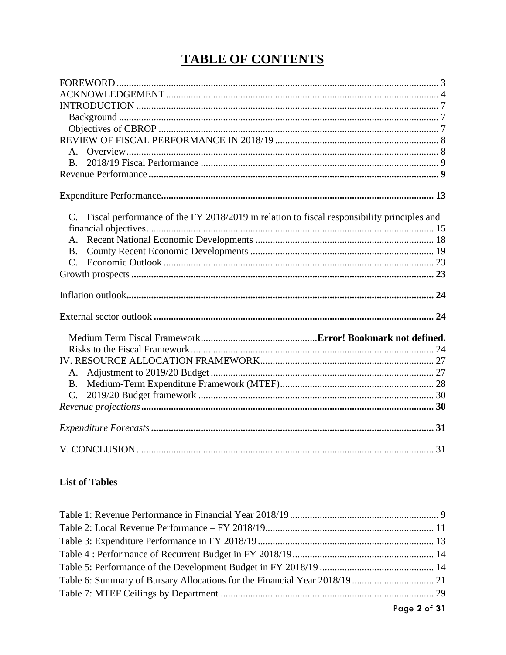### **TABLE OF CONTENTS**

| <b>B</b> .                                                                                    |
|-----------------------------------------------------------------------------------------------|
|                                                                                               |
|                                                                                               |
|                                                                                               |
|                                                                                               |
| C. Fiscal performance of the FY 2018/2019 in relation to fiscal responsibility principles and |
|                                                                                               |
|                                                                                               |
| <b>B.</b>                                                                                     |
|                                                                                               |
|                                                                                               |
|                                                                                               |
|                                                                                               |
|                                                                                               |
|                                                                                               |
|                                                                                               |
|                                                                                               |
|                                                                                               |
| $C_{\cdot}$                                                                                   |
|                                                                                               |
|                                                                                               |
|                                                                                               |

### **List of Tables**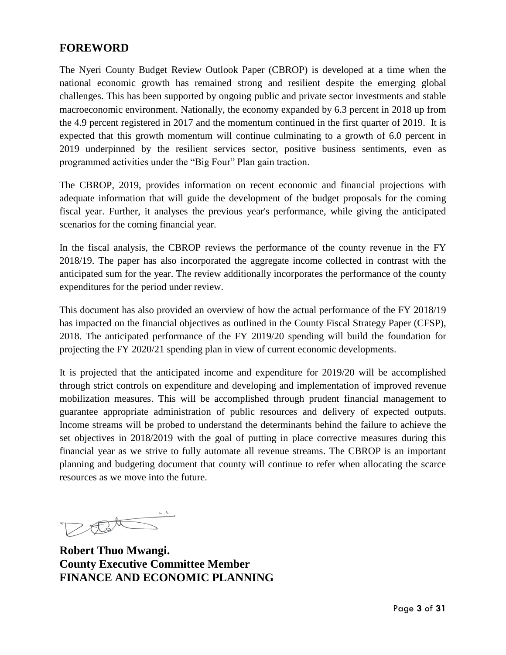### <span id="page-2-0"></span>**FOREWORD**

The Nyeri County Budget Review Outlook Paper (CBROP) is developed at a time when the national economic growth has remained strong and resilient despite the emerging global challenges. This has been supported by ongoing public and private sector investments and stable macroeconomic environment. Nationally, the economy expanded by 6.3 percent in 2018 up from the 4.9 percent registered in 2017 and the momentum continued in the first quarter of 2019. It is expected that this growth momentum will continue culminating to a growth of 6.0 percent in 2019 underpinned by the resilient services sector, positive business sentiments, even as programmed activities under the "Big Four" Plan gain traction.

The CBROP, 2019, provides information on recent economic and financial projections with adequate information that will guide the development of the budget proposals for the coming fiscal year. Further, it analyses the previous year's performance, while giving the anticipated scenarios for the coming financial year.

In the fiscal analysis, the CBROP reviews the performance of the county revenue in the FY 2018/19. The paper has also incorporated the aggregate income collected in contrast with the anticipated sum for the year. The review additionally incorporates the performance of the county expenditures for the period under review.

This document has also provided an overview of how the actual performance of the FY 2018/19 has impacted on the financial objectives as outlined in the County Fiscal Strategy Paper (CFSP), 2018. The anticipated performance of the FY 2019/20 spending will build the foundation for projecting the FY 2020/21 spending plan in view of current economic developments.

It is projected that the anticipated income and expenditure for 2019/20 will be accomplished through strict controls on expenditure and developing and implementation of improved revenue mobilization measures. This will be accomplished through prudent financial management to guarantee appropriate administration of public resources and delivery of expected outputs. Income streams will be probed to understand the determinants behind the failure to achieve the set objectives in 2018/2019 with the goal of putting in place corrective measures during this financial year as we strive to fully automate all revenue streams. The CBROP is an important planning and budgeting document that county will continue to refer when allocating the scarce resources as we move into the future.

DEL  $\sim$   $\times$ 

**Robert Thuo Mwangi. County Executive Committee Member FINANCE AND ECONOMIC PLANNING**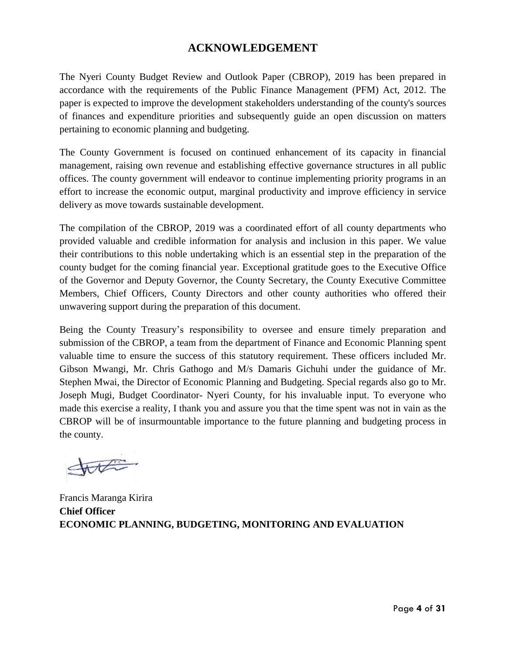### **ACKNOWLEDGEMENT**

<span id="page-3-0"></span>The Nyeri County Budget Review and Outlook Paper (CBROP), 2019 has been prepared in accordance with the requirements of the Public Finance Management (PFM) Act, 2012. The paper is expected to improve the development stakeholders understanding of the county's sources of finances and expenditure priorities and subsequently guide an open discussion on matters pertaining to economic planning and budgeting.

The County Government is focused on continued enhancement of its capacity in financial management, raising own revenue and establishing effective governance structures in all public offices. The county government will endeavor to continue implementing priority programs in an effort to increase the economic output, marginal productivity and improve efficiency in service delivery as move towards sustainable development.

The compilation of the CBROP, 2019 was a coordinated effort of all county departments who provided valuable and credible information for analysis and inclusion in this paper. We value their contributions to this noble undertaking which is an essential step in the preparation of the county budget for the coming financial year. Exceptional gratitude goes to the Executive Office of the Governor and Deputy Governor, the County Secretary, the County Executive Committee Members, Chief Officers, County Directors and other county authorities who offered their unwavering support during the preparation of this document.

Being the County Treasury's responsibility to oversee and ensure timely preparation and submission of the CBROP, a team from the department of Finance and Economic Planning spent valuable time to ensure the success of this statutory requirement. These officers included Mr. Gibson Mwangi, Mr. Chris Gathogo and M/s Damaris Gichuhi under the guidance of Mr. Stephen Mwai, the Director of Economic Planning and Budgeting. Special regards also go to Mr. Joseph Mugi, Budget Coordinator- Nyeri County, for his invaluable input. To everyone who made this exercise a reality, I thank you and assure you that the time spent was not in vain as the CBROP will be of insurmountable importance to the future planning and budgeting process in the county.

State

Francis Maranga Kirira **Chief Officer ECONOMIC PLANNING, BUDGETING, MONITORING AND EVALUATION**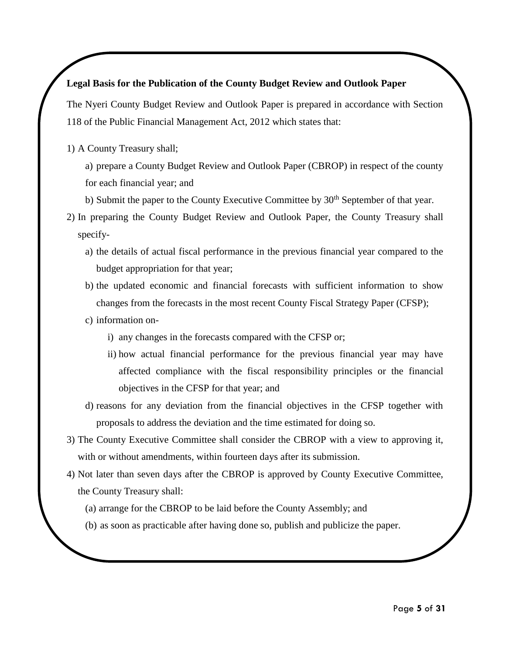### **Legal Basis for the Publication of the County Budget Review and Outlook Paper**

The Nyeri County Budget Review and Outlook Paper is prepared in accordance with Section 118 of the Public Financial Management Act, 2012 which states that:

1) A County Treasury shall;

a) prepare a County Budget Review and Outlook Paper (CBROP) in respect of the county for each financial year; and

- b) Submit the paper to the County Executive Committee by  $30<sup>th</sup>$  September of that year.
- 2) In preparing the County Budget Review and Outlook Paper, the County Treasury shall specify
	- a) the details of actual fiscal performance in the previous financial year compared to the budget appropriation for that year;
	- b) the updated economic and financial forecasts with sufficient information to show changes from the forecasts in the most recent County Fiscal Strategy Paper (CFSP);
	- c) information on
		- i) any changes in the forecasts compared with the CFSP or;
		- ii) how actual financial performance for the previous financial year may have affected compliance with the fiscal responsibility principles or the financial objectives in the CFSP for that year; and
	- d) reasons for any deviation from the financial objectives in the CFSP together with proposals to address the deviation and the time estimated for doing so.
- 3) The County Executive Committee shall consider the CBROP with a view to approving it, with or without amendments, within fourteen days after its submission.
- 4) Not later than seven days after the CBROP is approved by County Executive Committee, the County Treasury shall:
	- (a) arrange for the CBROP to be laid before the County Assembly; and
	- (b) as soon as practicable after having done so, publish and publicize the paper.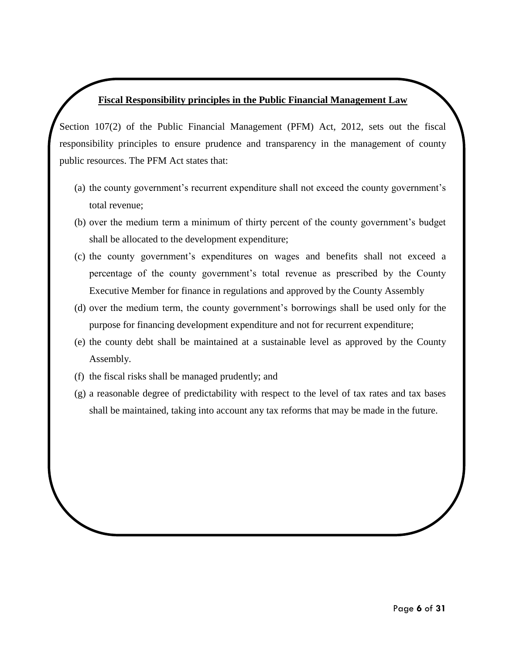### **Fiscal Responsibility principles in the Public Financial Management Law**

Section 107(2) of the Public Financial Management (PFM) Act, 2012, sets out the fiscal responsibility principles to ensure prudence and transparency in the management of county public resources. The PFM Act states that:

- (a) the county government's recurrent expenditure shall not exceed the county government's total revenue;
- (b) over the medium term a minimum of thirty percent of the county government's budget shall be allocated to the development expenditure;
- (c) the county government's expenditures on wages and benefits shall not exceed a percentage of the county government's total revenue as prescribed by the County Executive Member for finance in regulations and approved by the County Assembly
- (d) over the medium term, the county government's borrowings shall be used only for the purpose for financing development expenditure and not for recurrent expenditure;
- (e) the county debt shall be maintained at a sustainable level as approved by the County Assembly.
- (f) the fiscal risks shall be managed prudently; and
- (g) a reasonable degree of predictability with respect to the level of tax rates and tax bases shall be maintained, taking into account any tax reforms that may be made in the future.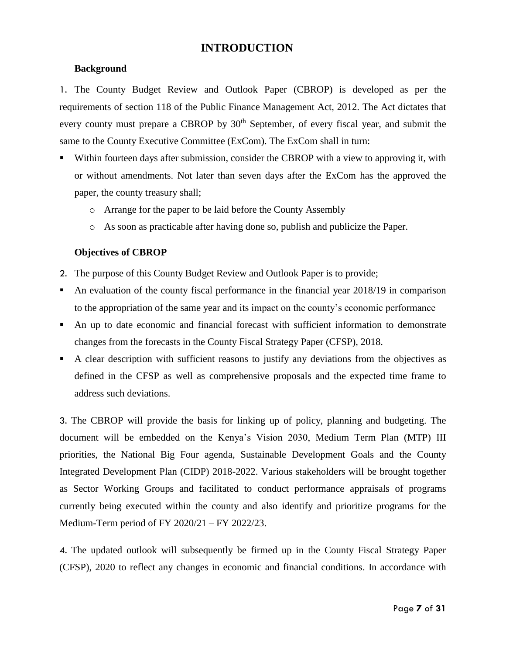### <span id="page-6-0"></span> **INTRODUCTION**

#### <span id="page-6-1"></span>**Background**

1. The County Budget Review and Outlook Paper (CBROP) is developed as per the requirements of section 118 of the Public Finance Management Act, 2012. The Act dictates that every county must prepare a CBROP by 30<sup>th</sup> September, of every fiscal year, and submit the same to the County Executive Committee (ExCom). The ExCom shall in turn:

- Within fourteen days after submission, consider the CBROP with a view to approving it, with or without amendments. Not later than seven days after the ExCom has the approved the paper, the county treasury shall;
	- o Arrange for the paper to be laid before the County Assembly
	- o As soon as practicable after having done so, publish and publicize the Paper.

#### <span id="page-6-2"></span>**Objectives of CBROP**

- 2. The purpose of this County Budget Review and Outlook Paper is to provide;
- An evaluation of the county fiscal performance in the financial year 2018/19 in comparison to the appropriation of the same year and its impact on the county's economic performance
- An up to date economic and financial forecast with sufficient information to demonstrate changes from the forecasts in the County Fiscal Strategy Paper (CFSP), 2018.
- A clear description with sufficient reasons to justify any deviations from the objectives as defined in the CFSP as well as comprehensive proposals and the expected time frame to address such deviations.

3. The CBROP will provide the basis for linking up of policy, planning and budgeting. The document will be embedded on the Kenya's Vision 2030, Medium Term Plan (MTP) III priorities, the National Big Four agenda, Sustainable Development Goals and the County Integrated Development Plan (CIDP) 2018-2022. Various stakeholders will be brought together as Sector Working Groups and facilitated to conduct performance appraisals of programs currently being executed within the county and also identify and prioritize programs for the Medium-Term period of FY 2020/21 – FY 2022/23.

4. The updated outlook will subsequently be firmed up in the County Fiscal Strategy Paper (CFSP), 2020 to reflect any changes in economic and financial conditions. In accordance with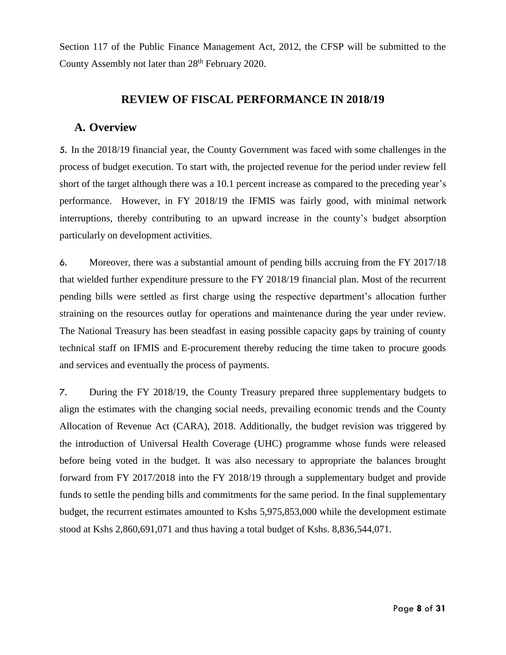Section 117 of the Public Finance Management Act, 2012, the CFSP will be submitted to the County Assembly not later than 28<sup>th</sup> February 2020.

### **REVIEW OF FISCAL PERFORMANCE IN 2018/19**

### <span id="page-7-1"></span><span id="page-7-0"></span>**A. Overview**

5. In the 2018/19 financial year, the County Government was faced with some challenges in the process of budget execution. To start with, the projected revenue for the period under review fell short of the target although there was a 10.1 percent increase as compared to the preceding year's performance. However, in FY 2018/19 the IFMIS was fairly good, with minimal network interruptions, thereby contributing to an upward increase in the county's budget absorption particularly on development activities.

6. Moreover, there was a substantial amount of pending bills accruing from the FY 2017/18 that wielded further expenditure pressure to the FY 2018/19 financial plan. Most of the recurrent pending bills were settled as first charge using the respective department's allocation further straining on the resources outlay for operations and maintenance during the year under review. The National Treasury has been steadfast in easing possible capacity gaps by training of county technical staff on IFMIS and E-procurement thereby reducing the time taken to procure goods and services and eventually the process of payments.

7. During the FY 2018/19, the County Treasury prepared three supplementary budgets to align the estimates with the changing social needs, prevailing economic trends and the County Allocation of Revenue Act (CARA), 2018. Additionally, the budget revision was triggered by the introduction of Universal Health Coverage (UHC) programme whose funds were released before being voted in the budget. It was also necessary to appropriate the balances brought forward from FY 2017/2018 into the FY 2018/19 through a supplementary budget and provide funds to settle the pending bills and commitments for the same period. In the final supplementary budget, the recurrent estimates amounted to Kshs 5,975,853,000 while the development estimate stood at Kshs 2,860,691,071 and thus having a total budget of Kshs. 8,836,544,071.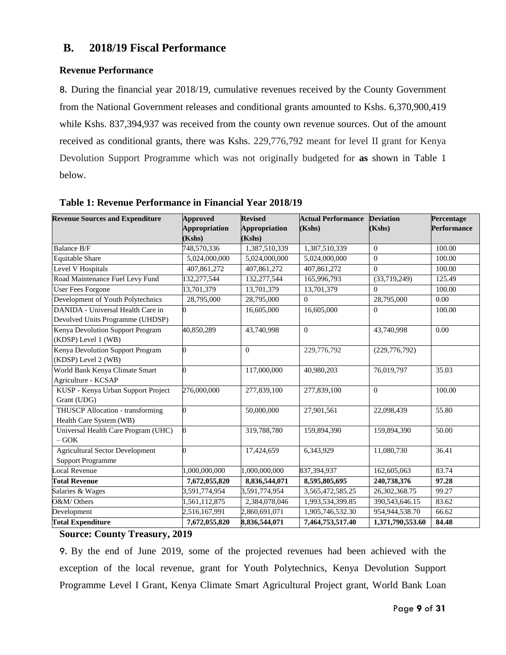### <span id="page-8-0"></span>**B. 2018/19 Fiscal Performance**

### <span id="page-8-1"></span>**Revenue Performance**

8. During the financial year 2018/19, cumulative revenues received by the County Government from the National Government releases and conditional grants amounted to Kshs. 6,370,900,419 while Kshs. 837,394,937 was received from the county own revenue sources. Out of the amount received as conditional grants, there was Kshs. 229,776,792 meant for level II grant for Kenya Devolution Support Programme which was not originally budgeted for **as** shown in Table 1 below.

| <b>Revenue Sources and Expenditure</b>                                | <b>Approved</b><br><b>Appropriation</b><br>(Kshs) | <b>Revised</b><br><b>Appropriation</b><br>(Kshs) | <b>Actual Performance</b><br>(Kshs) | <b>Deviation</b><br>(Kshs) | Percentage<br><b>Performance</b> |
|-----------------------------------------------------------------------|---------------------------------------------------|--------------------------------------------------|-------------------------------------|----------------------------|----------------------------------|
| Balance B/F                                                           | 748,570,336                                       | 1,387,510,339                                    | 1,387,510,339                       | $\Omega$                   | 100.00                           |
| <b>Equitable Share</b>                                                | 5,024,000,000                                     | 5,024,000,000                                    | 5,024,000,000                       | $\theta$                   | 100.00                           |
| Level V Hospitals                                                     | 407,861,272                                       | 407.861.272                                      | 407,861,272                         | $\Omega$                   | 100.00                           |
| Road Maintenance Fuel Levy Fund                                       | 132,277,544                                       | 132,277,544                                      | 165,996,793                         | (33,719,249)               | 125.49                           |
| <b>User Fees Forgone</b>                                              | 13,701,379                                        | 13,701,379                                       | 13,701,379                          | $\Omega$                   | 100.00                           |
| Development of Youth Polytechnics                                     | 28,795,000                                        | 28,795,000                                       | $\Omega$                            | 28,795,000                 | 0.00                             |
| DANIDA - Universal Health Care in<br>Devolved Units Programme (UHDSP) |                                                   | 16,605,000                                       | 16,605,000                          | $\Omega$                   | 100.00                           |
| Kenya Devolution Support Program<br>(KDSP) Level 1 (WB)               | 40,850,289                                        | 43,740,998                                       | $\overline{0}$                      | 43,740,998                 | 0.00                             |
| Kenya Devolution Support Program<br>(KDSP) Level 2 (WB)               |                                                   | $\Omega$                                         | 229,776,792                         | (229, 776, 792)            |                                  |
| World Bank Kenya Climate Smart<br>Agriculture - KCSAP                 |                                                   | 117,000,000                                      | 40,980,203                          | 76,019,797                 | 35.03                            |
| KUSP - Kenya Urban Support Project<br>Grant (UDG)                     | 276,000,000                                       | 277,839,100                                      | 277,839,100                         | $\theta$                   | 100.00                           |
| <b>THUSCP Allocation - transforming</b><br>Health Care System (WB)    |                                                   | 50,000,000                                       | 27,901,561                          | 22,098,439                 | 55.80                            |
| Universal Health Care Program (UHC)<br>$-GOK$                         | O                                                 | 319,788,780                                      | 159,894,390                         | 159,894,390                | 50.00                            |
| <b>Agricultural Sector Development</b><br><b>Support Programme</b>    |                                                   | 17,424,659                                       | 6,343,929                           | 11,080,730                 | 36.41                            |
| Local Revenue                                                         | 1,000,000,000                                     | 1,000,000,000                                    | 837,394,937                         | 162,605,063                | 83.74                            |
| <b>Total Revenue</b>                                                  | 7,672,055,820                                     | 8,836,544,071                                    | 8,595,805,695                       | 240,738,376                | 97.28                            |
| Salaries & Wages                                                      | 3,591,774,954                                     | 3,591,774,954                                    | 3,565,472,585.25                    | 26,302,368.75              | 99.27                            |
| O&M/ Others                                                           | 1,561,112,875                                     | 2,384,078,046                                    | 1,993,534,399.85                    | 390,543,646.15             | 83.62                            |
| Development                                                           | 2,516,167,991                                     | 2,860,691,071                                    | 1,905,746,532.30                    | 954,944,538.70             | 66.62                            |
| <b>Total Expenditure</b>                                              | 7,672,055,820                                     | 8,836,544,071                                    | 7,464,753,517.40                    | 1,371,790,553.60           | 84.48                            |

<span id="page-8-2"></span>**Table 1: Revenue Performance in Financial Year 2018/19**

### **Source: County Treasury, 2019**

9. By the end of June 2019, some of the projected revenues had been achieved with the exception of the local revenue, grant for Youth Polytechnics, Kenya Devolution Support Programme Level I Grant, Kenya Climate Smart Agricultural Project grant, World Bank Loan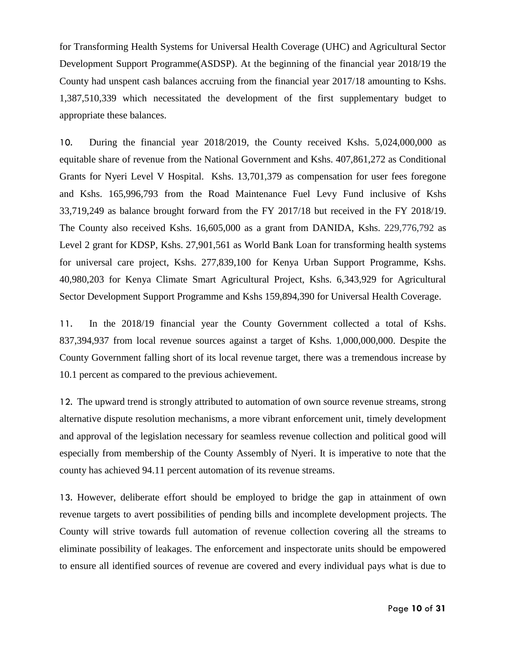for Transforming Health Systems for Universal Health Coverage (UHC) and Agricultural Sector Development Support Programme(ASDSP). At the beginning of the financial year 2018/19 the County had unspent cash balances accruing from the financial year 2017/18 amounting to Kshs. 1,387,510,339 which necessitated the development of the first supplementary budget to appropriate these balances.

10. During the financial year 2018/2019, the County received Kshs. 5,024,000,000 as equitable share of revenue from the National Government and Kshs. 407,861,272 as Conditional Grants for Nyeri Level V Hospital. Kshs. 13,701,379 as compensation for user fees foregone and Kshs. 165,996,793 from the Road Maintenance Fuel Levy Fund inclusive of Kshs 33,719,249 as balance brought forward from the FY 2017/18 but received in the FY 2018/19. The County also received Kshs. 16,605,000 as a grant from DANIDA, Kshs. 229,776,792 as Level 2 grant for KDSP, Kshs. 27,901,561 as World Bank Loan for transforming health systems for universal care project, Kshs. 277,839,100 for Kenya Urban Support Programme, Kshs. 40,980,203 for Kenya Climate Smart Agricultural Project, Kshs. 6,343,929 for Agricultural Sector Development Support Programme and Kshs 159,894,390 for Universal Health Coverage.

11. In the 2018/19 financial year the County Government collected a total of Kshs. 837,394,937 from local revenue sources against a target of Kshs. 1,000,000,000. Despite the County Government falling short of its local revenue target, there was a tremendous increase by 10.1 percent as compared to the previous achievement.

12. The upward trend is strongly attributed to automation of own source revenue streams, strong alternative dispute resolution mechanisms, a more vibrant enforcement unit, timely development and approval of the legislation necessary for seamless revenue collection and political good will especially from membership of the County Assembly of Nyeri. It is imperative to note that the county has achieved 94.11 percent automation of its revenue streams.

13. However, deliberate effort should be employed to bridge the gap in attainment of own revenue targets to avert possibilities of pending bills and incomplete development projects. The County will strive towards full automation of revenue collection covering all the streams to eliminate possibility of leakages. The enforcement and inspectorate units should be empowered to ensure all identified sources of revenue are covered and every individual pays what is due to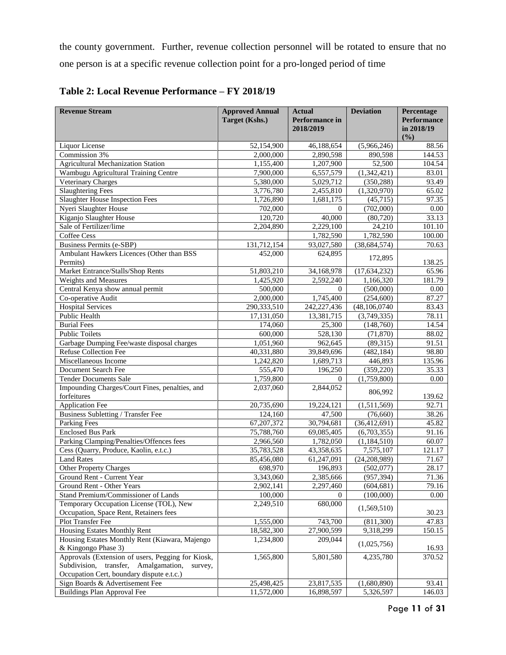the county government. Further, revenue collection personnel will be rotated to ensure that no one person is at a specific revenue collection point for a pro-longed period of time

| <b>Revenue Stream</b>                             | <b>Approved Annual</b>  | <b>Actual</b>           | <b>Deviation</b>         | Percentage         |
|---------------------------------------------------|-------------------------|-------------------------|--------------------------|--------------------|
|                                                   | Target (Kshs.)          | Performance in          |                          | <b>Performance</b> |
|                                                   |                         | 2018/2019               |                          | in 2018/19         |
|                                                   |                         |                         |                          | (%)                |
| Liquor License<br>Commission 3%                   | 52,154,900<br>2,000,000 | 46,188,654<br>2,890,598 | (5,966,246)<br>890,598   | 88.56<br>144.53    |
|                                                   | 1,155,400               |                         |                          |                    |
| <b>Agricultural Mechanization Station</b>         |                         | 1,207,900               | 52,500                   | 104.54             |
| Wambugu Agricultural Training Centre              | 7,900,000               | 6,557,579               | $\overline{(1,342,421)}$ | 83.01              |
| Veterinary Charges                                | 5,380,000               | 5,029,712               | (350, 288)               | 93.49              |
| <b>Slaughtering Fees</b>                          | 3,776,780               | 2,455,810               | (1,320,970)              | 65.02              |
| <b>Slaughter House Inspection Fees</b>            | 1,726,890               | 1,681,175               | (45, 715)                | 97.35              |
| Nyeri Slaughter House                             | 702,000                 | $\Omega$                | (702,000)                | 0.00               |
| Kiganjo Slaughter House                           | 120,720                 | 40,000                  | (80, 720)                | 33.13              |
| Sale of Fertilizer/lime                           | 2,204,890               | 2,229,100               | 24,210                   | 101.10             |
| <b>Coffee Cess</b>                                |                         | 1,782,590               | 1,782,590                | 100.00             |
| <b>Business Permits (e-SBP)</b>                   | 131,712,154             | 93,027,580              | (38, 684, 574)           | 70.63              |
| Ambulant Hawkers Licences (Other than BSS         | 452,000                 | 624,895                 | 172,895                  |                    |
| Permits)                                          |                         |                         |                          | 138.25             |
| Market Entrance/Stalls/Shop Rents                 | 51,803,210              | 34,168,978              | (17, 634, 232)           | 65.96              |
| Weights and Measures                              | 1,425,920               | 2,592,240               | 1,166,320                | 181.79             |
| Central Kenya show annual permit                  | 500,000                 | $\Omega$                | (500,000)                | 0.00               |
| Co-operative Audit                                | 2,000,000               | 1,745,400               | (254, 600)               | 87.27              |
| <b>Hospital Services</b>                          | 290,333,510             | 242,227,436             | (48, 106, 0740)          | 83.43              |
| Public Health                                     | 17,131,050              | 13,381,715              | (3,749,335)              | 78.11              |
| <b>Burial Fees</b>                                | 174,060                 | 25,300                  | (148,760)                | 14.54              |
| <b>Public Toilets</b>                             | 600,000                 | 528,130                 | (71, 870)                | 88.02              |
| Garbage Dumping Fee/waste disposal charges        | 1,051,960               | 962,645                 | (89,315)                 | 91.51              |
| <b>Refuse Collection Fee</b>                      | 40,331,880              | 39,849,696              | (482, 184)               | 98.80              |
| Miscellaneous Income                              | 1,242,820               | 1,689,713               | 446,893                  | 135.96             |
| Document Search Fee                               | 555,470                 | 196,250                 | (359, 220)               | 35.33              |
| <b>Tender Documents Sale</b>                      | 1,759,800               | 0                       | (1,759,800)              | 0.00               |
| Impounding Charges/Court Fines, penalties, and    | 2,037,060               | 2,844,052               | 806,992                  |                    |
| forfeitures                                       |                         |                         |                          | 139.62             |
| <b>Application Fee</b>                            | 20,735,690              | 19,224,121              | (1,511,569)              | 92.71              |
| <b>Business Subletting / Transfer Fee</b>         | 124,160                 | 47,500                  | (76,660)                 | 38.26              |
| <b>Parking Fees</b>                               | 67,207,372              | 30,794,681              | (36, 412, 691)           | 45.82              |
| <b>Enclosed Bus Park</b>                          | 75,788,760              | 69,085,405              | (6,703,355)              | 91.16              |
| Parking Clamping/Penalties/Offences fees          | 2,966,560               | 1,782,050               | (1, 184, 510)            | 60.07              |
| Cess (Quarry, Produce, Kaolin, e.t.c.)            | 35,783,528              | 43,358,635              | 7,575,107                | 121.17             |
| <b>Land Rates</b>                                 | 85,456,080              | 61,247,091              | (24, 208, 989)           | 71.67              |
| <b>Other Property Charges</b>                     | 698,970                 | 196,893                 | (502,077)                | 28.17              |
| Ground Rent - Current Year                        | 3,343,060               | 2,385,666               | (957, 394)               | 71.36              |
| Ground Rent - Other Years                         | 2,902,141               | 2,297,460               | (604, 681)               | 79.16              |
| Stand Premium/Commissioner of Lands               | 100,000                 | $\theta$                | (100,000)                | $0.00\,$           |
| Temporary Occupation License (TOL), New           | 2,249,510               | 680,000                 |                          |                    |
| Occupation, Space Rent, Retainers fees            |                         |                         | (1,569,510)              | 30.23              |
| Plot Transfer Fee                                 | 1,555,000               | 743,700                 | (811, 300)               | 47.83              |
| Housing Estates Monthly Rent                      | 18,582,300              | 27,900,599              | 9,318,299                | 150.15             |
| Housing Estates Monthly Rent (Kiawara, Majengo    | 1,234,800               | 209,044                 |                          |                    |
| & Kingongo Phase 3)                               |                         |                         | (1,025,756)              | 16.93              |
| Approvals (Extension of users, Pegging for Kiosk, | 1,565,800               | 5,801,580               | 4,235,780                | 370.52             |
| Subdivision, transfer, Amalgamation,<br>survey,   |                         |                         |                          |                    |
| Occupation Cert, boundary dispute e.t.c.)         |                         |                         |                          |                    |
| Sign Boards & Advertisement Fee                   | 25,498,425              | 23,817,535              | (1,680,890)              | 93.41              |
| Buildings Plan Approval Fee                       | 11,572,000              | 16,898,597              | 5,326,597                | 146.03             |

<span id="page-10-0"></span>**Table 2: Local Revenue Performance – FY 2018/19**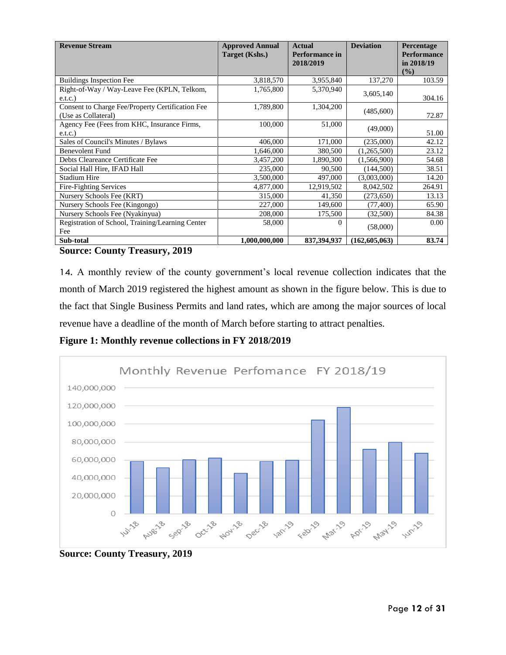| <b>Revenue Stream</b>                                                   | <b>Approved Annual</b><br>Target (Kshs.) | <b>Actual</b><br><b>Performance in</b><br>2018/2019 | <b>Deviation</b> | Percentage<br><b>Performance</b><br>in 2018/19 |
|-------------------------------------------------------------------------|------------------------------------------|-----------------------------------------------------|------------------|------------------------------------------------|
| <b>Buildings Inspection Fee</b>                                         | 3,818,570                                | 3,955,840                                           | 137,270          | (%)<br>103.59                                  |
| Right-of-Way / Way-Leave Fee (KPLN, Telkom,<br>e.t.c.                   | 1,765,800                                | 5,370,940                                           | 3,605,140        | 304.16                                         |
| Consent to Charge Fee/Property Certification Fee<br>(Use as Collateral) | 1,789,800                                | 1,304,200                                           | (485,600)        | 72.87                                          |
| Agency Fee (Fees from KHC, Insurance Firms,<br>e.t.c.)                  | 100,000                                  | 51,000                                              | (49,000)         | 51.00                                          |
| Sales of Council's Minutes / Bylaws                                     | 406,000                                  | 171,000                                             | (235,000)        | 42.12                                          |
| <b>Benevolent Fund</b>                                                  | 1,646,000                                | 380,500                                             | (1,265,500)      | 23.12                                          |
| Debts Cleareance Certificate Fee                                        | 3,457,200                                | 1,890,300                                           | (1,566,900)      | 54.68                                          |
| Social Hall Hire, IFAD Hall                                             | 235,000                                  | 90,500                                              | (144, 500)       | 38.51                                          |
| <b>Stadium Hire</b>                                                     | 3,500,000                                | 497,000                                             | (3,003,000)      | 14.20                                          |
| <b>Fire-Fighting Services</b>                                           | 4,877,000                                | 12,919,502                                          | 8,042,502        | 264.91                                         |
| Nursery Schools Fee (KRT)                                               | 315,000                                  | 41,350                                              | (273, 650)       | 13.13                                          |
| Nursery Schools Fee (Kingongo)                                          | 227,000                                  | 149,600                                             | (77, 400)        | 65.90                                          |
| Nursery Schools Fee (Nyakinyua)                                         | 208,000                                  | 175,500                                             | (32,500)         | 84.38                                          |
| Registration of School, Training/Learning Center<br>Fee                 | 58,000                                   | 0                                                   | (58,000)         | 0.00                                           |
| Sub-total<br>- - - -                                                    | 1,000,000,000                            | 837,394,937                                         | (162,605,063)    | 83.74                                          |

#### **Source: County Treasury, 2019**

14. A monthly review of the county government's local revenue collection indicates that the month of March 2019 registered the highest amount as shown in the figure below. This is due to the fact that Single Business Permits and land rates, which are among the major sources of local revenue have a deadline of the month of March before starting to attract penalties.

**Figure 1: Monthly revenue collections in FY 2018/2019**



**Source: County Treasury, 2019**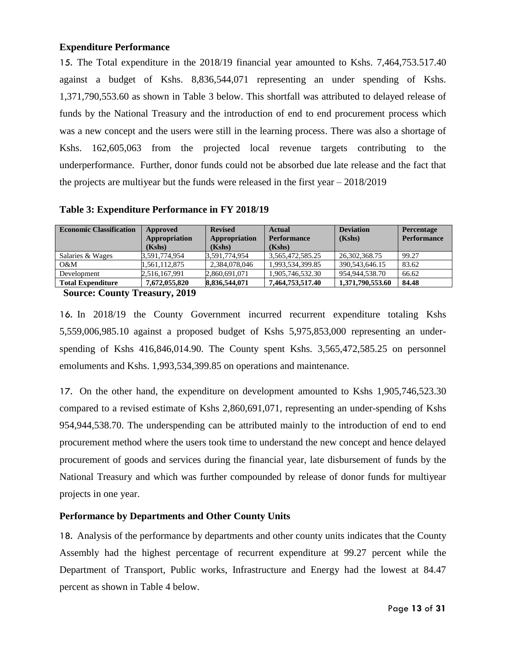### <span id="page-12-0"></span>**Expenditure Performance**

15. The Total expenditure in the 2018/19 financial year amounted to Kshs. 7,464,753.517.40 against a budget of Kshs. 8,836,544,071 representing an under spending of Kshs. 1,371,790,553.60 as shown in Table 3 below. This shortfall was attributed to delayed release of funds by the National Treasury and the introduction of end to end procurement process which was a new concept and the users were still in the learning process. There was also a shortage of Kshs. 162,605,063 from the projected local revenue targets contributing to the underperformance. Further, donor funds could not be absorbed due late release and the fact that the projects are multiyear but the funds were released in the first year – 2018/2019

|               | (Kshs)                              | (Kshs)                                          |                   | <b>Performance</b> |
|---------------|-------------------------------------|-------------------------------------------------|-------------------|--------------------|
| 3,591,774,954 |                                     | 3,565,472,585.25                                | 26,302,368.75     | 99.27              |
| 1,561,112,875 | 2,384,078,046                       | 1,993,534,399.85                                | 390.543.646.15    | 83.62              |
| 2,516,167,991 |                                     | 1,905,746,532.30                                | 954, 944, 538, 70 | 66.62              |
| 7,672,055,820 |                                     | 7,464,753,517.40                                | 1,371,790,553.60  | 84.48              |
|               | (Kshs)<br>$\mathbf{A}$ $\mathbf{A}$ | 3,591,774,954<br>2,860,691,071<br>8,836,544,071 |                   |                    |

<span id="page-12-1"></span>**Table 3: Expenditure Performance in FY 2018/19**

**Source: County Treasury, 2019**

16. In 2018/19 the County Government incurred recurrent expenditure totaling Kshs 5,559,006,985.10 against a proposed budget of Kshs 5,975,853,000 representing an underspending of Kshs 416,846,014.90. The County spent Kshs. 3,565,472,585.25 on personnel emoluments and Kshs. 1,993,534,399.85 on operations and maintenance.

17. On the other hand, the expenditure on development amounted to Kshs 1,905,746,523.30 compared to a revised estimate of Kshs 2,860,691,071, representing an under-spending of Kshs 954,944,538.70. The underspending can be attributed mainly to the introduction of end to end procurement method where the users took time to understand the new concept and hence delayed procurement of goods and services during the financial year, late disbursement of funds by the National Treasury and which was further compounded by release of donor funds for multiyear projects in one year.

### **Performance by Departments and Other County Units**

18. Analysis of the performance by departments and other county units indicates that the County Assembly had the highest percentage of recurrent expenditure at 99.27 percent while the Department of Transport, Public works, Infrastructure and Energy had the lowest at 84.47 percent as shown in Table 4 below.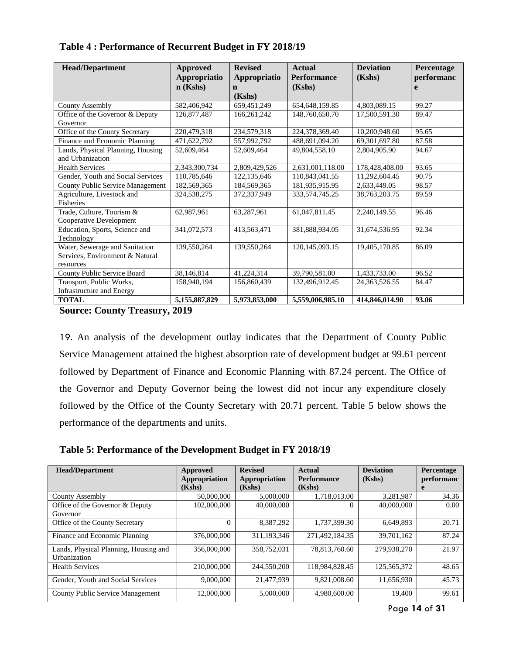| <b>Head/Department</b>                  | <b>Approved</b>  | <b>Revised</b> | <b>Actual</b>      | <b>Deviation</b> | Percentage |
|-----------------------------------------|------------------|----------------|--------------------|------------------|------------|
|                                         | Appropriatio     | Appropriatio   | <b>Performance</b> | (Kshs)           | performanc |
|                                         | $n$ (Kshs)       | $\mathbf n$    | (Kshs)             |                  | e          |
|                                         |                  | (Kshs)         |                    |                  |            |
| <b>County Assembly</b>                  | 582,406,942      | 659,451,249    | 654, 648, 159.85   | 4,803,089.15     | 99.27      |
| Office of the Governor & Deputy         | 126,877,487      | 166, 261, 242  | 148,760,650.70     | 17,500,591.30    | 89.47      |
| Governor                                |                  |                |                    |                  |            |
| Office of the County Secretary          | 220,479,318      | 234,579,318    | 224,378,369.40     | 10,200,948.60    | 95.65      |
| Finance and Economic Planning           | 471,622,792      | 557,992,792    | 488,691,094.20     | 69,301,697.80    | 87.58      |
| Lands, Physical Planning, Housing       | 52,609,464       | 52,609,464     | 49,804,558.10      | 2,804,905.90     | 94.67      |
| and Urbanization                        |                  |                |                    |                  |            |
| <b>Health Services</b>                  | 2,343,300,734    | 2,809,429,526  | 2,631,001,118.00   | 178,428,408.00   | 93.65      |
| Gender, Youth and Social Services       | 110,785,646      | 122,135,646    | 110,843,041.55     | 11,292,604.45    | 90.75      |
| <b>County Public Service Management</b> | 182.569.365      | 184,569,365    | 181,935,915.95     | 2.633.449.05     | 98.57      |
| Agriculture, Livestock and              | 324.538.275      | 372,337,949    | 333,574,745.25     | 38, 763, 203. 75 | 89.59      |
| Fisheries                               |                  |                |                    |                  |            |
| Trade, Culture, Tourism &               | 62,987,961       | 63,287,961     | 61,047,811.45      | 2,240,149.55     | 96.46      |
| Cooperative Development                 |                  |                |                    |                  |            |
| Education, Sports, Science and          | 341,072,573      | 413,563,471    | 381,888,934.05     | 31,674,536.95    | 92.34      |
| Technology                              |                  |                |                    |                  |            |
| Water, Sewerage and Sanitation          | 139,550,264      | 139,550,264    | 120, 145, 093. 15  | 19,405,170.85    | 86.09      |
| Services, Environment & Natural         |                  |                |                    |                  |            |
| resources                               |                  |                |                    |                  |            |
| <b>County Public Service Board</b>      | 38,146,814       | 41,224,314     | 39,790,581.00      | 1,433,733.00     | 96.52      |
| Transport, Public Works,                | 158,940,194      | 156,860,439    | 132,496,912.45     | 24, 363, 526. 55 | 84.47      |
| Infrastructure and Energy               |                  |                |                    |                  |            |
| <b>TOTAL</b>                            | 5, 155, 887, 829 | 5,973,853,000  | 5,559,006,985.10   | 414,846,014.90   | 93.06      |

### <span id="page-13-0"></span>**Table 4 : Performance of Recurrent Budget in FY 2018/19**

**Source: County Treasury, 2019**

19. An analysis of the development outlay indicates that the Department of County Public Service Management attained the highest absorption rate of development budget at 99.61 percent followed by Department of Finance and Economic Planning with 87.24 percent. The Office of the Governor and Deputy Governor being the lowest did not incur any expenditure closely followed by the Office of the County Secretary with 20.71 percent. Table 5 below shows the performance of the departments and units.

<span id="page-13-1"></span>**Table 5: Performance of the Development Budget in FY 2018/19**

| <b>Head/Department</b>                  | Approved      | <b>Revised</b> | Actual             | <b>Deviation</b> | Percentage |
|-----------------------------------------|---------------|----------------|--------------------|------------------|------------|
|                                         | Appropriation | Appropriation  | <b>Performance</b> | (Kshs)           | performanc |
|                                         | (Kshs)        | (Kshs)         | (Kshs)             |                  | e          |
| <b>County Assembly</b>                  | 50,000,000    | 5,000,000      | 1,718,013.00       | 3,281,987        | 34.36      |
| Office of the Governor & Deputy         | 102,000,000   | 40,000,000     | 0                  | 40,000,000       | 0.00       |
| Governor                                |               |                |                    |                  |            |
| Office of the County Secretary          | $\Omega$      | 8,387,292      | 1,737,399.30       | 6,649,893        | 20.71      |
| Finance and Economic Planning           | 376,000,000   | 311,193,346    | 271,492,184.35     | 39,701,162       | 87.24      |
| Lands, Physical Planning, Housing and   | 356,000,000   | 358,752,031    | 78,813,760.60      | 279.938.270      | 21.97      |
| Urbanization                            |               |                |                    |                  |            |
| <b>Health Services</b>                  | 210,000,000   | 244,550,200    | 118.984.828.45     | 125,565,372      | 48.65      |
| Gender, Youth and Social Services       | 9,000,000     | 21,477,939     | 9,821,008.60       | 11,656,930       | 45.73      |
| <b>County Public Service Management</b> | 12,000,000    | 5,000,000      | 4,980,600.00       | 19,400           | 99.61      |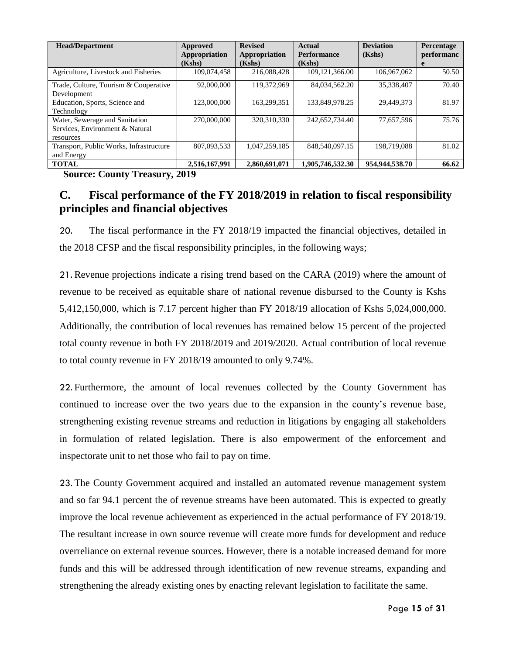| <b>Head/Department</b>                  | Approved      | <b>Revised</b> | Actual             | <b>Deviation</b> | Percentage |
|-----------------------------------------|---------------|----------------|--------------------|------------------|------------|
|                                         | Appropriation | Appropriation  | <b>Performance</b> | (Kshs)           | performanc |
|                                         | (Kshs)        | (Kshs)         | (Kshs)             |                  | e          |
| Agriculture, Livestock and Fisheries    | 109,074,458   | 216,088,428    | 109.121.366.00     | 106,967,062      | 50.50      |
| Trade, Culture, Tourism & Cooperative   | 92,000,000    | 119,372,969    | 84,034,562.20      | 35,338,407       | 70.40      |
| Development                             |               |                |                    |                  |            |
| Education, Sports, Science and          | 123,000,000   | 163.299.351    | 133,849,978.25     | 29.449.373       | 81.97      |
| Technology                              |               |                |                    |                  |            |
| Water, Sewerage and Sanitation          | 270,000,000   | 320,310,330    | 242,652,734.40     | 77.657.596       | 75.76      |
| Services, Environment & Natural         |               |                |                    |                  |            |
| resources                               |               |                |                    |                  |            |
| Transport, Public Works, Infrastructure | 807.093.533   | 1.047.259.185  | 848,540,097.15     | 198,719,088      | 81.02      |
| and Energy                              |               |                |                    |                  |            |
| <b>TOTAL</b>                            | 2,516,167,991 | 2,860,691,071  | 1,905,746,532.30   | 954,944,538.70   | 66.62      |

**Source: County Treasury, 2019**

### <span id="page-14-0"></span>**C. Fiscal performance of the FY 2018/2019 in relation to fiscal responsibility principles and financial objectives**

20. The fiscal performance in the FY 2018/19 impacted the financial objectives, detailed in the 2018 CFSP and the fiscal responsibility principles, in the following ways;

21. Revenue projections indicate a rising trend based on the CARA (2019) where the amount of revenue to be received as equitable share of national revenue disbursed to the County is Kshs 5,412,150,000, which is 7.17 percent higher than FY 2018/19 allocation of Kshs 5,024,000,000. Additionally, the contribution of local revenues has remained below 15 percent of the projected total county revenue in both FY 2018/2019 and 2019/2020. Actual contribution of local revenue to total county revenue in FY 2018/19 amounted to only 9.74%.

22. Furthermore, the amount of local revenues collected by the County Government has continued to increase over the two years due to the expansion in the county's revenue base, strengthening existing revenue streams and reduction in litigations by engaging all stakeholders in formulation of related legislation. There is also empowerment of the enforcement and inspectorate unit to net those who fail to pay on time.

23. The County Government acquired and installed an automated revenue management system and so far 94.1 percent the of revenue streams have been automated. This is expected to greatly improve the local revenue achievement as experienced in the actual performance of FY 2018/19. The resultant increase in own source revenue will create more funds for development and reduce overreliance on external revenue sources. However, there is a notable increased demand for more funds and this will be addressed through identification of new revenue streams, expanding and strengthening the already existing ones by enacting relevant legislation to facilitate the same.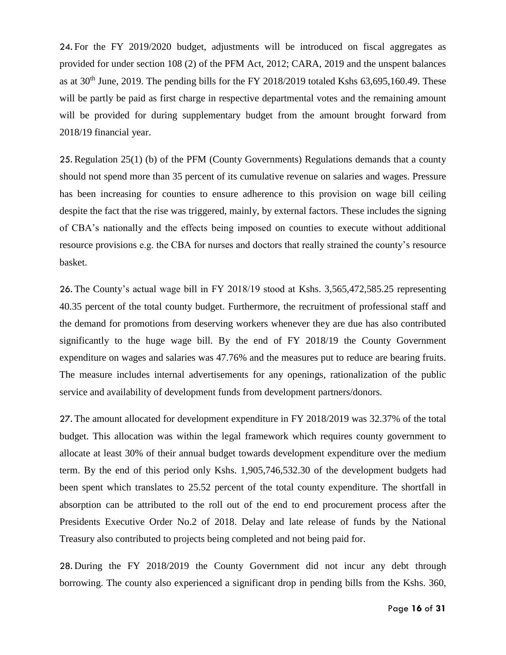24. For the FY 2019/2020 budget, adjustments will be introduced on fiscal aggregates as provided for under section 108 (2) of the PFM Act, 2012; CARA, 2019 and the unspent balances as at  $30<sup>th</sup>$  June, 2019. The pending bills for the FY 2018/2019 totaled Kshs 63,695,160.49. These will be partly be paid as first charge in respective departmental votes and the remaining amount will be provided for during supplementary budget from the amount brought forward from 2018/19 financial year.

25. Regulation 25(1) (b) of the PFM (County Governments) Regulations demands that a county should not spend more than 35 percent of its cumulative revenue on salaries and wages. Pressure has been increasing for counties to ensure adherence to this provision on wage bill ceiling despite the fact that the rise was triggered, mainly, by external factors. These includes the signing of CBA's nationally and the effects being imposed on counties to execute without additional resource provisions e.g. the CBA for nurses and doctors that really strained the county's resource basket.

26. The County's actual wage bill in FY 2018/19 stood at Kshs. 3,565,472,585.25 representing 40.35 percent of the total county budget. Furthermore, the recruitment of professional staff and the demand for promotions from deserving workers whenever they are due has also contributed significantly to the huge wage bill. By the end of FY 2018/19 the County Government expenditure on wages and salaries was 47.76% and the measures put to reduce are bearing fruits. The measure includes internal advertisements for any openings, rationalization of the public service and availability of development funds from development partners/donors.

27. The amount allocated for development expenditure in FY 2018/2019 was 32.37% of the total budget. This allocation was within the legal framework which requires county government to allocate at least 30% of their annual budget towards development expenditure over the medium term. By the end of this period only Kshs. 1,905,746,532.30 of the development budgets had been spent which translates to 25.52 percent of the total county expenditure. The shortfall in absorption can be attributed to the roll out of the end to end procurement process after the Presidents Executive Order No.2 of 2018. Delay and late release of funds by the National Treasury also contributed to projects being completed and not being paid for.

28. During the FY 2018/2019 the County Government did not incur any debt through borrowing. The county also experienced a significant drop in pending bills from the Kshs. 360,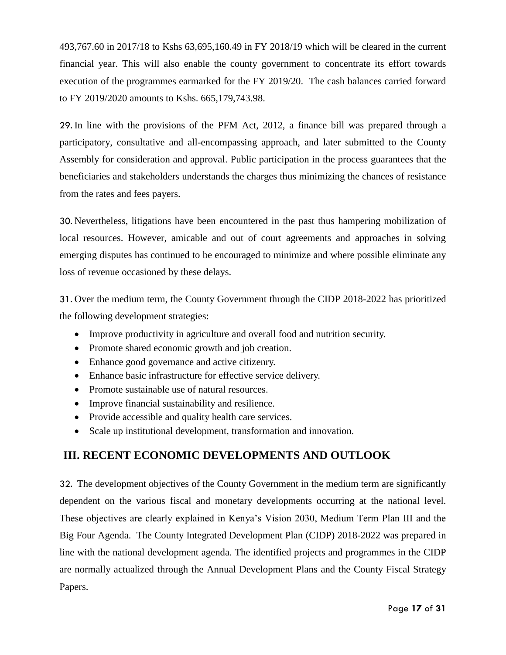493,767.60 in 2017/18 to Kshs 63,695,160.49 in FY 2018/19 which will be cleared in the current financial year. This will also enable the county government to concentrate its effort towards execution of the programmes earmarked for the FY 2019/20. The cash balances carried forward to FY 2019/2020 amounts to Kshs. 665,179,743.98.

29. In line with the provisions of the PFM Act, 2012, a finance bill was prepared through a participatory, consultative and all-encompassing approach, and later submitted to the County Assembly for consideration and approval. Public participation in the process guarantees that the beneficiaries and stakeholders understands the charges thus minimizing the chances of resistance from the rates and fees payers.

30. Nevertheless, litigations have been encountered in the past thus hampering mobilization of local resources. However, amicable and out of court agreements and approaches in solving emerging disputes has continued to be encouraged to minimize and where possible eliminate any loss of revenue occasioned by these delays.

31. Over the medium term, the County Government through the CIDP 2018-2022 has prioritized the following development strategies:

- Improve productivity in agriculture and overall food and nutrition security.
- Promote shared economic growth and job creation.
- Enhance good governance and active citizenry.
- Enhance basic infrastructure for effective service delivery.
- Promote sustainable use of natural resources.
- Improve financial sustainability and resilience.
- Provide accessible and quality health care services.
- Scale up institutional development, transformation and innovation.

### **III. RECENT ECONOMIC DEVELOPMENTS AND OUTLOOK**

32. The development objectives of the County Government in the medium term are significantly dependent on the various fiscal and monetary developments occurring at the national level. These objectives are clearly explained in Kenya's Vision 2030, Medium Term Plan III and the Big Four Agenda. The County Integrated Development Plan (CIDP) 2018-2022 was prepared in line with the national development agenda. The identified projects and programmes in the CIDP are normally actualized through the Annual Development Plans and the County Fiscal Strategy Papers.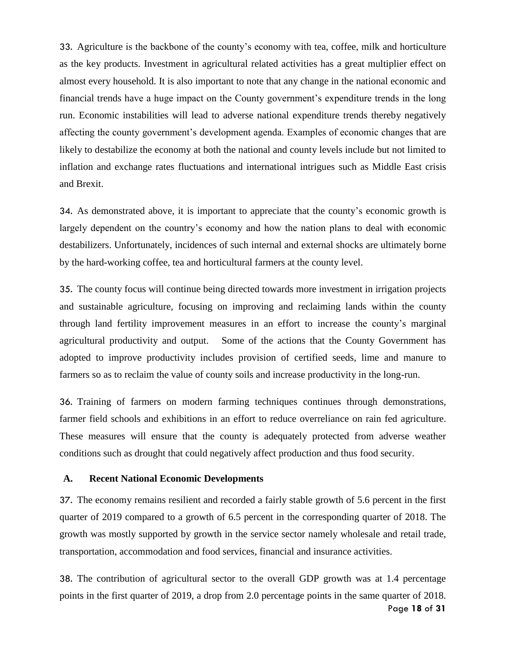33. Agriculture is the backbone of the county's economy with tea, coffee, milk and horticulture as the key products. Investment in agricultural related activities has a great multiplier effect on almost every household. It is also important to note that any change in the national economic and financial trends have a huge impact on the County government's expenditure trends in the long run. Economic instabilities will lead to adverse national expenditure trends thereby negatively affecting the county government's development agenda. Examples of economic changes that are likely to destabilize the economy at both the national and county levels include but not limited to inflation and exchange rates fluctuations and international intrigues such as Middle East crisis and Brexit.

34. As demonstrated above, it is important to appreciate that the county's economic growth is largely dependent on the country's economy and how the nation plans to deal with economic destabilizers. Unfortunately, incidences of such internal and external shocks are ultimately borne by the hard-working coffee, tea and horticultural farmers at the county level.

35. The county focus will continue being directed towards more investment in irrigation projects and sustainable agriculture, focusing on improving and reclaiming lands within the county through land fertility improvement measures in an effort to increase the county's marginal agricultural productivity and output. Some of the actions that the County Government has adopted to improve productivity includes provision of certified seeds, lime and manure to farmers so as to reclaim the value of county soils and increase productivity in the long-run.

36. Training of farmers on modern farming techniques continues through demonstrations, farmer field schools and exhibitions in an effort to reduce overreliance on rain fed agriculture. These measures will ensure that the county is adequately protected from adverse weather conditions such as drought that could negatively affect production and thus food security.

#### <span id="page-17-0"></span>**A. Recent National Economic Developments**

37. The economy remains resilient and recorded a fairly stable growth of 5.6 percent in the first quarter of 2019 compared to a growth of 6.5 percent in the corresponding quarter of 2018. The growth was mostly supported by growth in the service sector namely wholesale and retail trade, transportation, accommodation and food services, financial and insurance activities.

Page **18** of **31** 38. The contribution of agricultural sector to the overall GDP growth was at 1.4 percentage points in the first quarter of 2019, a drop from 2.0 percentage points in the same quarter of 2018.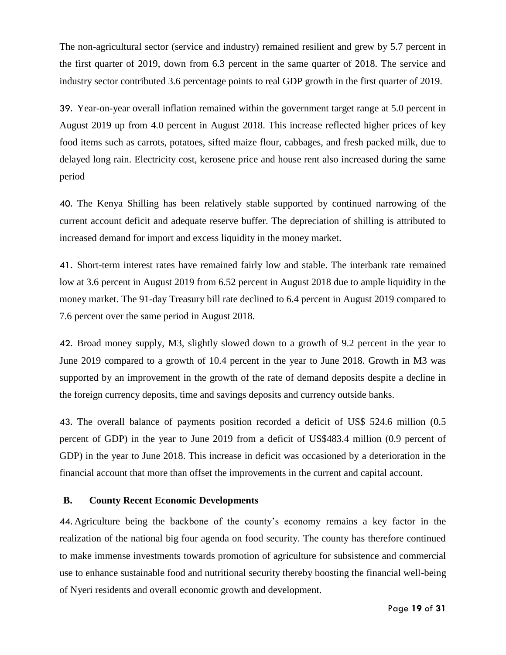The non-agricultural sector (service and industry) remained resilient and grew by 5.7 percent in the first quarter of 2019, down from 6.3 percent in the same quarter of 2018. The service and industry sector contributed 3.6 percentage points to real GDP growth in the first quarter of 2019.

39. Year-on-year overall inflation remained within the government target range at 5.0 percent in August 2019 up from 4.0 percent in August 2018. This increase reflected higher prices of key food items such as carrots, potatoes, sifted maize flour, cabbages, and fresh packed milk, due to delayed long rain. Electricity cost, kerosene price and house rent also increased during the same period

40. The Kenya Shilling has been relatively stable supported by continued narrowing of the current account deficit and adequate reserve buffer. The depreciation of shilling is attributed to increased demand for import and excess liquidity in the money market.

41. Short-term interest rates have remained fairly low and stable. The interbank rate remained low at 3.6 percent in August 2019 from 6.52 percent in August 2018 due to ample liquidity in the money market. The 91-day Treasury bill rate declined to 6.4 percent in August 2019 compared to 7.6 percent over the same period in August 2018.

42. Broad money supply, M3, slightly slowed down to a growth of 9.2 percent in the year to June 2019 compared to a growth of 10.4 percent in the year to June 2018. Growth in M3 was supported by an improvement in the growth of the rate of demand deposits despite a decline in the foreign currency deposits, time and savings deposits and currency outside banks.

43. The overall balance of payments position recorded a deficit of US\$ 524.6 million (0.5 percent of GDP) in the year to June 2019 from a deficit of US\$483.4 million (0.9 percent of GDP) in the year to June 2018. This increase in deficit was occasioned by a deterioration in the financial account that more than offset the improvements in the current and capital account.

### <span id="page-18-0"></span>**B. County Recent Economic Developments**

44. Agriculture being the backbone of the county's economy remains a key factor in the realization of the national big four agenda on food security. The county has therefore continued to make immense investments towards promotion of agriculture for subsistence and commercial use to enhance sustainable food and nutritional security thereby boosting the financial well-being of Nyeri residents and overall economic growth and development.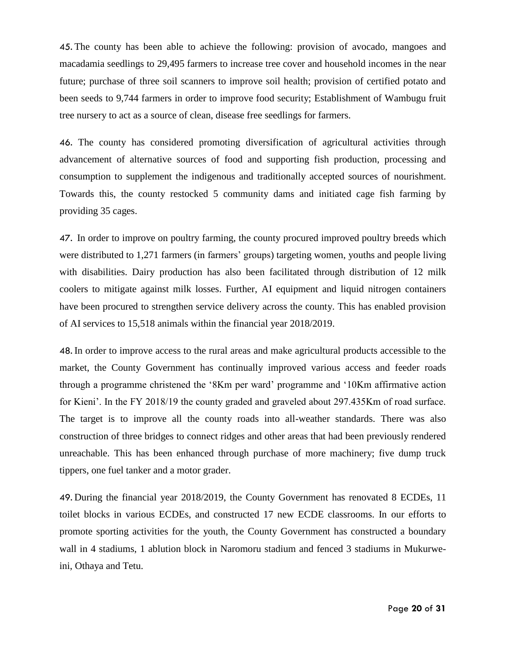45. The county has been able to achieve the following: provision of avocado, mangoes and macadamia seedlings to 29,495 farmers to increase tree cover and household incomes in the near future; purchase of three soil scanners to improve soil health; provision of certified potato and been seeds to 9,744 farmers in order to improve food security; Establishment of Wambugu fruit tree nursery to act as a source of clean, disease free seedlings for farmers.

46. The county has considered promoting diversification of agricultural activities through advancement of alternative sources of food and supporting fish production, processing and consumption to supplement the indigenous and traditionally accepted sources of nourishment. Towards this, the county restocked 5 community dams and initiated cage fish farming by providing 35 cages.

47. In order to improve on poultry farming, the county procured improved poultry breeds which were distributed to 1,271 farmers (in farmers' groups) targeting women, youths and people living with disabilities. Dairy production has also been facilitated through distribution of 12 milk coolers to mitigate against milk losses. Further, AI equipment and liquid nitrogen containers have been procured to strengthen service delivery across the county. This has enabled provision of AI services to 15,518 animals within the financial year 2018/2019.

48. In order to improve access to the rural areas and make agricultural products accessible to the market, the County Government has continually improved various access and feeder roads through a programme christened the '8Km per ward' programme and '10Km affirmative action for Kieni'. In the FY 2018/19 the county graded and graveled about 297.435Km of road surface. The target is to improve all the county roads into all-weather standards. There was also construction of three bridges to connect ridges and other areas that had been previously rendered unreachable. This has been enhanced through purchase of more machinery; five dump truck tippers, one fuel tanker and a motor grader.

49. During the financial year 2018/2019, the County Government has renovated 8 ECDEs, 11 toilet blocks in various ECDEs, and constructed 17 new ECDE classrooms. In our efforts to promote sporting activities for the youth, the County Government has constructed a boundary wall in 4 stadiums, 1 ablution block in Naromoru stadium and fenced 3 stadiums in Mukurweini, Othaya and Tetu.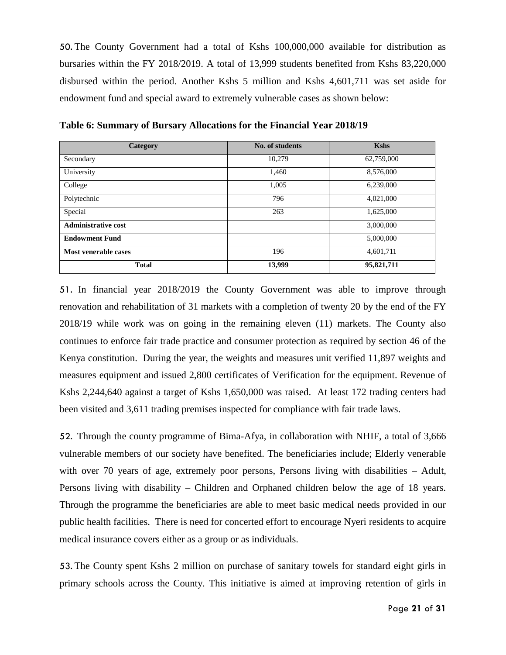50. The County Government had a total of Kshs 100,000,000 available for distribution as bursaries within the FY 2018/2019. A total of 13,999 students benefited from Kshs 83,220,000 disbursed within the period. Another Kshs 5 million and Kshs 4,601,711 was set aside for endowment fund and special award to extremely vulnerable cases as shown below:

| Category                   | No. of students | <b>Kshs</b> |
|----------------------------|-----------------|-------------|
| Secondary                  | 10,279          | 62,759,000  |
| University                 | 1,460           | 8,576,000   |
| College                    | 1,005           | 6,239,000   |
| Polytechnic                | 796             | 4,021,000   |
| Special                    | 263             | 1,625,000   |
| <b>Administrative cost</b> |                 | 3,000,000   |
| <b>Endowment Fund</b>      |                 | 5,000,000   |
| Most venerable cases       | 196             | 4,601,711   |
| <b>Total</b>               | 13,999          | 95,821,711  |

<span id="page-20-0"></span>**Table 6: Summary of Bursary Allocations for the Financial Year 2018/19** 

51. In financial year 2018/2019 the County Government was able to improve through renovation and rehabilitation of 31 markets with a completion of twenty 20 by the end of the FY 2018/19 while work was on going in the remaining eleven (11) markets. The County also continues to enforce fair trade practice and consumer protection as required by section 46 of the Kenya constitution. During the year, the weights and measures unit verified 11,897 weights and measures equipment and issued 2,800 certificates of Verification for the equipment. Revenue of Kshs 2,244,640 against a target of Kshs 1,650,000 was raised. At least 172 trading centers had been visited and 3,611 trading premises inspected for compliance with fair trade laws.

52. Through the county programme of Bima-Afya, in collaboration with NHIF, a total of 3,666 vulnerable members of our society have benefited. The beneficiaries include; Elderly venerable with over 70 years of age, extremely poor persons, Persons living with disabilities – Adult, Persons living with disability – Children and Orphaned children below the age of 18 years. Through the programme the beneficiaries are able to meet basic medical needs provided in our public health facilities. There is need for concerted effort to encourage Nyeri residents to acquire medical insurance covers either as a group or as individuals.

53. The County spent Kshs 2 million on purchase of sanitary towels for standard eight girls in primary schools across the County. This initiative is aimed at improving retention of girls in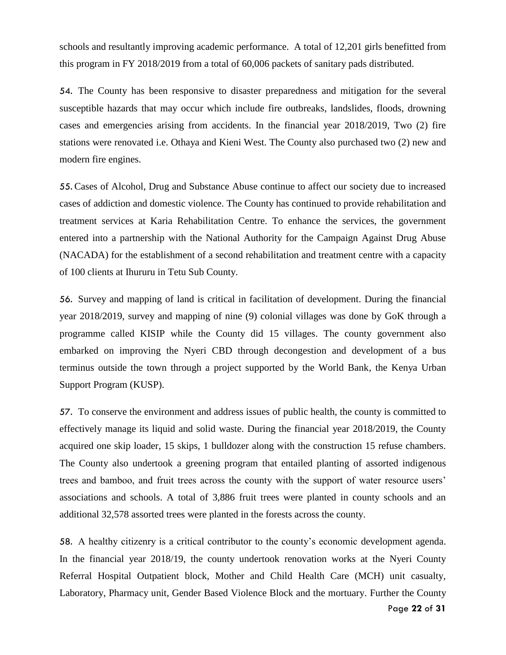schools and resultantly improving academic performance. A total of 12,201 girls benefitted from this program in FY 2018/2019 from a total of 60,006 packets of sanitary pads distributed.

54. The County has been responsive to disaster preparedness and mitigation for the several susceptible hazards that may occur which include fire outbreaks, landslides, floods, drowning cases and emergencies arising from accidents. In the financial year 2018/2019, Two (2) fire stations were renovated i.e. Othaya and Kieni West. The County also purchased two (2) new and modern fire engines.

55. Cases of Alcohol, Drug and Substance Abuse continue to affect our society due to increased cases of addiction and domestic violence. The County has continued to provide rehabilitation and treatment services at Karia Rehabilitation Centre. To enhance the services, the government entered into a partnership with the National Authority for the Campaign Against Drug Abuse (NACADA) for the establishment of a second rehabilitation and treatment centre with a capacity of 100 clients at Ihururu in Tetu Sub County.

56. Survey and mapping of land is critical in facilitation of development. During the financial year 2018/2019, survey and mapping of nine (9) colonial villages was done by GoK through a programme called KISIP while the County did 15 villages. The county government also embarked on improving the Nyeri CBD through decongestion and development of a bus terminus outside the town through a project supported by the World Bank, the Kenya Urban Support Program (KUSP).

57. To conserve the environment and address issues of public health, the county is committed to effectively manage its liquid and solid waste. During the financial year 2018/2019, the County acquired one skip loader, 15 skips, 1 bulldozer along with the construction 15 refuse chambers. The County also undertook a greening program that entailed planting of assorted indigenous trees and bamboo, and fruit trees across the county with the support of water resource users' associations and schools. A total of 3,886 fruit trees were planted in county schools and an additional 32,578 assorted trees were planted in the forests across the county.

58. A healthy citizenry is a critical contributor to the county's economic development agenda. In the financial year 2018/19, the county undertook renovation works at the Nyeri County Referral Hospital Outpatient block, Mother and Child Health Care (MCH) unit casualty, Laboratory, Pharmacy unit, Gender Based Violence Block and the mortuary. Further the County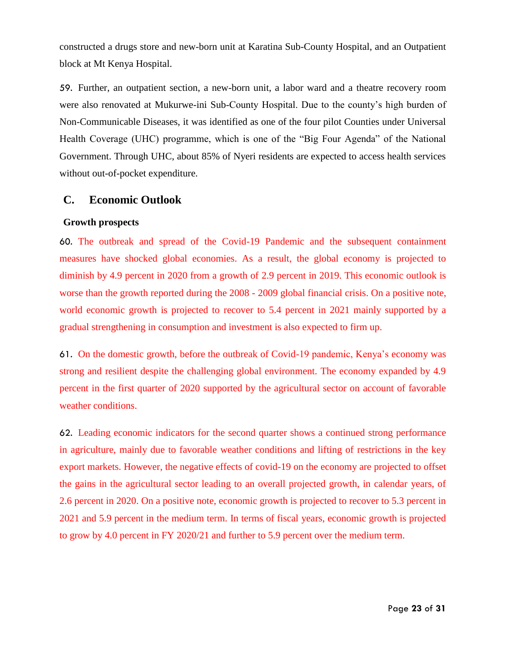constructed a drugs store and new-born unit at Karatina Sub-County Hospital, and an Outpatient block at Mt Kenya Hospital.

59. Further, an outpatient section, a new-born unit, a labor ward and a theatre recovery room were also renovated at Mukurwe-ini Sub-County Hospital. Due to the county's high burden of Non-Communicable Diseases, it was identified as one of the four pilot Counties under Universal Health Coverage (UHC) programme, which is one of the "Big Four Agenda" of the National Government. Through UHC, about 85% of Nyeri residents are expected to access health services without out-of-pocket expenditure.

### <span id="page-22-0"></span>**C. Economic Outlook**

### <span id="page-22-1"></span>**Growth prospects**

60. The outbreak and spread of the Covid-19 Pandemic and the subsequent containment measures have shocked global economies. As a result, the global economy is projected to diminish by 4.9 percent in 2020 from a growth of 2.9 percent in 2019. This economic outlook is worse than the growth reported during the 2008 - 2009 global financial crisis. On a positive note, world economic growth is projected to recover to 5.4 percent in 2021 mainly supported by a gradual strengthening in consumption and investment is also expected to firm up.

61. On the domestic growth, before the outbreak of Covid-19 pandemic, Kenya's economy was strong and resilient despite the challenging global environment. The economy expanded by 4.9 percent in the first quarter of 2020 supported by the agricultural sector on account of favorable weather conditions.

62. Leading economic indicators for the second quarter shows a continued strong performance in agriculture, mainly due to favorable weather conditions and lifting of restrictions in the key export markets. However, the negative effects of covid-19 on the economy are projected to offset the gains in the agricultural sector leading to an overall projected growth, in calendar years, of 2.6 percent in 2020. On a positive note, economic growth is projected to recover to 5.3 percent in 2021 and 5.9 percent in the medium term. In terms of fiscal years, economic growth is projected to grow by 4.0 percent in FY 2020/21 and further to 5.9 percent over the medium term.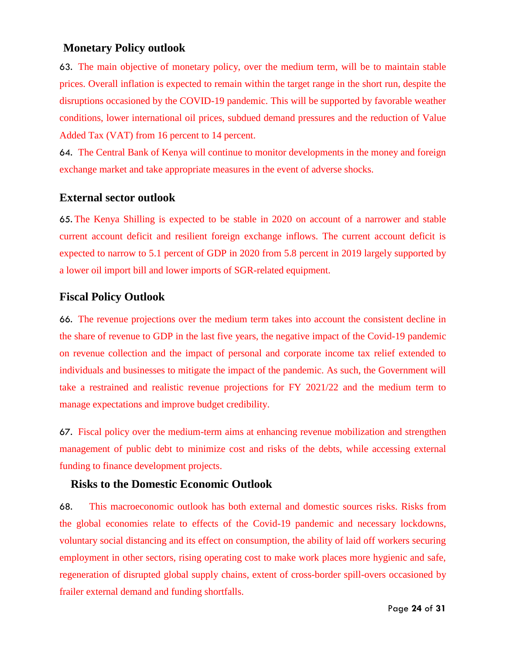### <span id="page-23-0"></span>**Monetary Policy outlook**

63. The main objective of monetary policy, over the medium term, will be to maintain stable prices. Overall inflation is expected to remain within the target range in the short run, despite the disruptions occasioned by the COVID-19 pandemic. This will be supported by favorable weather conditions, lower international oil prices, subdued demand pressures and the reduction of Value Added Tax (VAT) from 16 percent to 14 percent.

64. The Central Bank of Kenya will continue to monitor developments in the money and foreign exchange market and take appropriate measures in the event of adverse shocks.

### <span id="page-23-1"></span>**External sector outlook**

65. The Kenya Shilling is expected to be stable in 2020 on account of a narrower and stable current account deficit and resilient foreign exchange inflows. The current account deficit is expected to narrow to 5.1 percent of GDP in 2020 from 5.8 percent in 2019 largely supported by a lower oil import bill and lower imports of SGR-related equipment.

### **Fiscal Policy Outlook**

66. The revenue projections over the medium term takes into account the consistent decline in the share of revenue to GDP in the last five years, the negative impact of the Covid-19 pandemic on revenue collection and the impact of personal and corporate income tax relief extended to individuals and businesses to mitigate the impact of the pandemic. As such, the Government will take a restrained and realistic revenue projections for FY 2021/22 and the medium term to manage expectations and improve budget credibility.

67. Fiscal policy over the medium-term aims at enhancing revenue mobilization and strengthen management of public debt to minimize cost and risks of the debts, while accessing external funding to finance development projects.

### <span id="page-23-2"></span>**Risks to the Domestic Economic Outlook**

68. This macroeconomic outlook has both external and domestic sources risks. Risks from the global economies relate to effects of the Covid-19 pandemic and necessary lockdowns, voluntary social distancing and its effect on consumption, the ability of laid off workers securing employment in other sectors, rising operating cost to make work places more hygienic and safe, regeneration of disrupted global supply chains, extent of cross-border spill-overs occasioned by frailer external demand and funding shortfalls.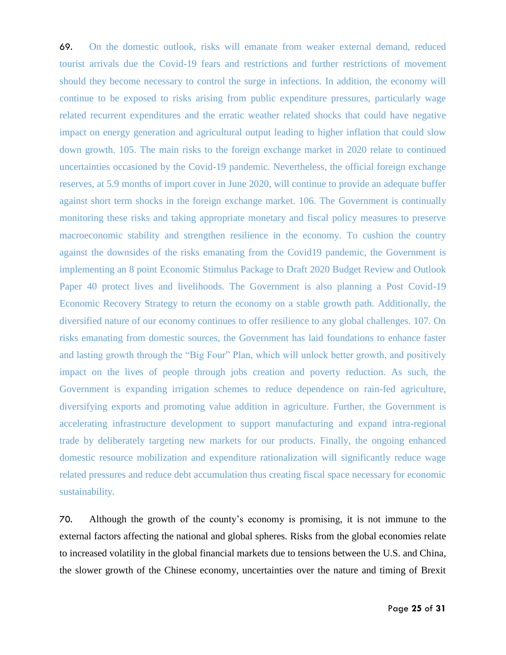69. On the domestic outlook, risks will emanate from weaker external demand, reduced tourist arrivals due the Covid-19 fears and restrictions and further restrictions of movement should they become necessary to control the surge in infections. In addition, the economy will continue to be exposed to risks arising from public expenditure pressures, particularly wage related recurrent expenditures and the erratic weather related shocks that could have negative impact on energy generation and agricultural output leading to higher inflation that could slow down growth. 105. The main risks to the foreign exchange market in 2020 relate to continued uncertainties occasioned by the Covid-19 pandemic. Nevertheless, the official foreign exchange reserves, at 5.9 months of import cover in June 2020, will continue to provide an adequate buffer against short term shocks in the foreign exchange market. 106. The Government is continually monitoring these risks and taking appropriate monetary and fiscal policy measures to preserve macroeconomic stability and strengthen resilience in the economy. To cushion the country against the downsides of the risks emanating from the Covid19 pandemic, the Government is implementing an 8 point Economic Stimulus Package to Draft 2020 Budget Review and Outlook Paper 40 protect lives and livelihoods. The Government is also planning a Post Covid-19 Economic Recovery Strategy to return the economy on a stable growth path. Additionally, the diversified nature of our economy continues to offer resilience to any global challenges. 107. On risks emanating from domestic sources, the Government has laid foundations to enhance faster and lasting growth through the "Big Four" Plan, which will unlock better growth, and positively impact on the lives of people through jobs creation and poverty reduction. As such, the Government is expanding irrigation schemes to reduce dependence on rain-fed agriculture, diversifying exports and promoting value addition in agriculture. Further, the Government is accelerating infrastructure development to support manufacturing and expand intra-regional trade by deliberately targeting new markets for our products. Finally, the ongoing enhanced domestic resource mobilization and expenditure rationalization will significantly reduce wage related pressures and reduce debt accumulation thus creating fiscal space necessary for economic sustainability.

70. Although the growth of the county's economy is promising, it is not immune to the external factors affecting the national and global spheres. Risks from the global economies relate to increased volatility in the global financial markets due to tensions between the U.S. and China, the slower growth of the Chinese economy, uncertainties over the nature and timing of Brexit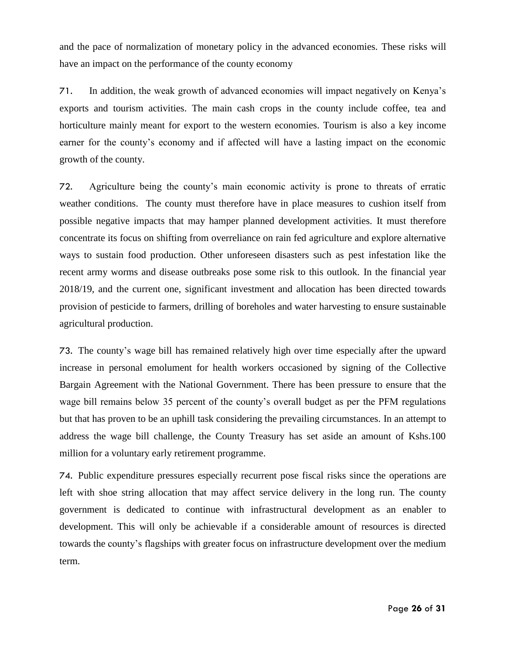and the pace of normalization of monetary policy in the advanced economies. These risks will have an impact on the performance of the county economy

71. In addition, the weak growth of advanced economies will impact negatively on Kenya's exports and tourism activities. The main cash crops in the county include coffee, tea and horticulture mainly meant for export to the western economies. Tourism is also a key income earner for the county's economy and if affected will have a lasting impact on the economic growth of the county.

72. Agriculture being the county's main economic activity is prone to threats of erratic weather conditions. The county must therefore have in place measures to cushion itself from possible negative impacts that may hamper planned development activities. It must therefore concentrate its focus on shifting from overreliance on rain fed agriculture and explore alternative ways to sustain food production. Other unforeseen disasters such as pest infestation like the recent army worms and disease outbreaks pose some risk to this outlook. In the financial year 2018/19, and the current one, significant investment and allocation has been directed towards provision of pesticide to farmers, drilling of boreholes and water harvesting to ensure sustainable agricultural production.

73. The county's wage bill has remained relatively high over time especially after the upward increase in personal emolument for health workers occasioned by signing of the Collective Bargain Agreement with the National Government. There has been pressure to ensure that the wage bill remains below 35 percent of the county's overall budget as per the PFM regulations but that has proven to be an uphill task considering the prevailing circumstances. In an attempt to address the wage bill challenge, the County Treasury has set aside an amount of Kshs.100 million for a voluntary early retirement programme.

74. Public expenditure pressures especially recurrent pose fiscal risks since the operations are left with shoe string allocation that may affect service delivery in the long run. The county government is dedicated to continue with infrastructural development as an enabler to development. This will only be achievable if a considerable amount of resources is directed towards the county's flagships with greater focus on infrastructure development over the medium term.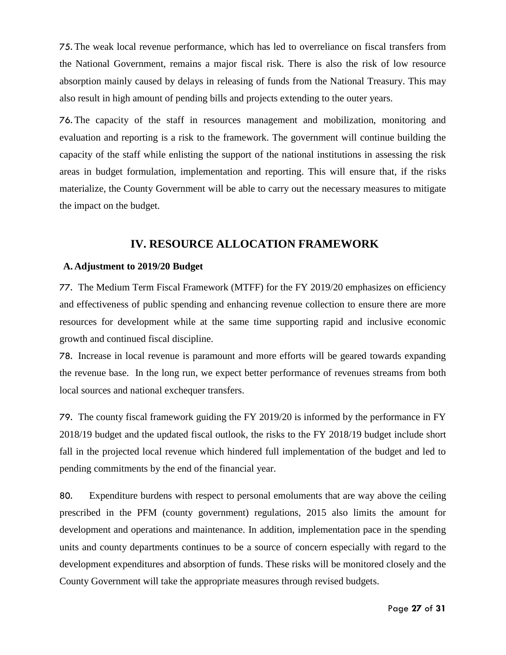75. The weak local revenue performance, which has led to overreliance on fiscal transfers from the National Government, remains a major fiscal risk. There is also the risk of low resource absorption mainly caused by delays in releasing of funds from the National Treasury. This may also result in high amount of pending bills and projects extending to the outer years.

76. The capacity of the staff in resources management and mobilization, monitoring and evaluation and reporting is a risk to the framework. The government will continue building the capacity of the staff while enlisting the support of the national institutions in assessing the risk areas in budget formulation, implementation and reporting. This will ensure that, if the risks materialize, the County Government will be able to carry out the necessary measures to mitigate the impact on the budget.

### **IV. RESOURCE ALLOCATION FRAMEWORK**

#### <span id="page-26-1"></span><span id="page-26-0"></span>**A. Adjustment to 2019/20 Budget**

77. The Medium Term Fiscal Framework (MTFF) for the FY 2019/20 emphasizes on efficiency and effectiveness of public spending and enhancing revenue collection to ensure there are more resources for development while at the same time supporting rapid and inclusive economic growth and continued fiscal discipline.

78. Increase in local revenue is paramount and more efforts will be geared towards expanding the revenue base. In the long run, we expect better performance of revenues streams from both local sources and national exchequer transfers.

79. The county fiscal framework guiding the FY 2019/20 is informed by the performance in FY 2018/19 budget and the updated fiscal outlook, the risks to the FY 2018/19 budget include short fall in the projected local revenue which hindered full implementation of the budget and led to pending commitments by the end of the financial year.

80. Expenditure burdens with respect to personal emoluments that are way above the ceiling prescribed in the PFM (county government) regulations, 2015 also limits the amount for development and operations and maintenance. In addition, implementation pace in the spending units and county departments continues to be a source of concern especially with regard to the development expenditures and absorption of funds. These risks will be monitored closely and the County Government will take the appropriate measures through revised budgets.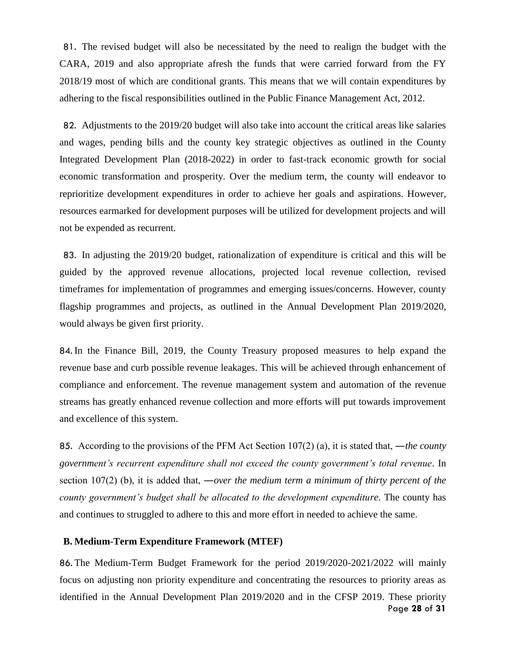81. The revised budget will also be necessitated by the need to realign the budget with the CARA, 2019 and also appropriate afresh the funds that were carried forward from the FY 2018/19 most of which are conditional grants. This means that we will contain expenditures by adhering to the fiscal responsibilities outlined in the Public Finance Management Act, 2012.

82. Adjustments to the 2019/20 budget will also take into account the critical areas like salaries and wages, pending bills and the county key strategic objectives as outlined in the County Integrated Development Plan (2018-2022) in order to fast-track economic growth for social economic transformation and prosperity. Over the medium term, the county will endeavor to reprioritize development expenditures in order to achieve her goals and aspirations. However, resources earmarked for development purposes will be utilized for development projects and will not be expended as recurrent.

83. In adjusting the 2019/20 budget, rationalization of expenditure is critical and this will be guided by the approved revenue allocations, projected local revenue collection, revised timeframes for implementation of programmes and emerging issues/concerns. However, county flagship programmes and projects, as outlined in the Annual Development Plan 2019/2020, would always be given first priority.

84. In the Finance Bill, 2019, the County Treasury proposed measures to help expand the revenue base and curb possible revenue leakages. This will be achieved through enhancement of compliance and enforcement. The revenue management system and automation of the revenue streams has greatly enhanced revenue collection and more efforts will put towards improvement and excellence of this system.

85. According to the provisions of the PFM Act Section 107(2) (a), it is stated that, ―*the county government's recurrent expenditure shall not exceed the county government's total revenue*. In section 107(2) (b), it is added that, ―*over the medium term a minimum of thirty percent of the county government's budget shall be allocated to the development expenditure*. The county has and continues to struggled to adhere to this and more effort in needed to achieve the same.

#### <span id="page-27-0"></span>**B. Medium-Term Expenditure Framework (MTEF)**

Page **28** of **31** 86. The Medium-Term Budget Framework for the period 2019/2020-2021/2022 will mainly focus on adjusting non priority expenditure and concentrating the resources to priority areas as identified in the Annual Development Plan 2019/2020 and in the CFSP 2019. These priority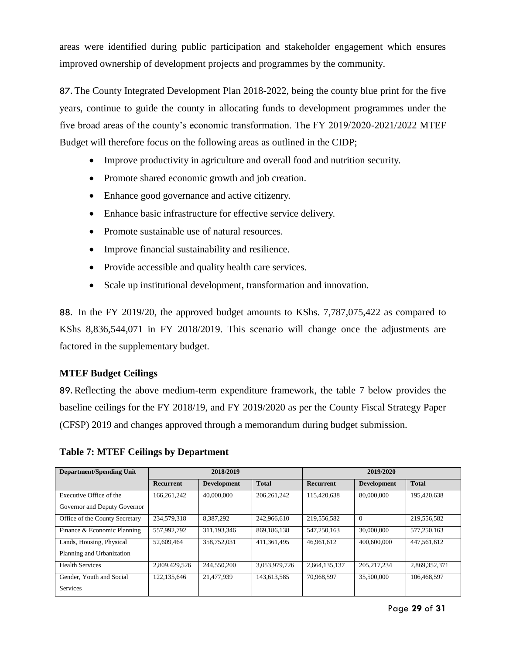areas were identified during public participation and stakeholder engagement which ensures improved ownership of development projects and programmes by the community.

87. The County Integrated Development Plan 2018-2022, being the county blue print for the five years, continue to guide the county in allocating funds to development programmes under the five broad areas of the county's economic transformation. The FY 2019/2020-2021/2022 MTEF Budget will therefore focus on the following areas as outlined in the CIDP;

- Improve productivity in agriculture and overall food and nutrition security.
- Promote shared economic growth and job creation.
- Enhance good governance and active citizenry.
- Enhance basic infrastructure for effective service delivery.
- Promote sustainable use of natural resources.
- Improve financial sustainability and resilience.
- Provide accessible and quality health care services.
- Scale up institutional development, transformation and innovation.

88. In the FY 2019/20, the approved budget amounts to KShs. 7,787,075,422 as compared to KShs 8,836,544,071 in FY 2018/2019. This scenario will change once the adjustments are factored in the supplementary budget.

### **MTEF Budget Ceilings**

89. Reflecting the above medium-term expenditure framework, the table 7 below provides the baseline ceilings for the FY 2018/19, and FY 2019/2020 as per the County Fiscal Strategy Paper (CFSP) 2019 and changes approved through a memorandum during budget submission.

<span id="page-28-0"></span>**Table 7: MTEF Ceilings by Department**

| <b>Department/Spending Unit</b> | 2018/2019        |                    |               |                  | 2019/2020          |               |
|---------------------------------|------------------|--------------------|---------------|------------------|--------------------|---------------|
|                                 | <b>Recurrent</b> | <b>Development</b> | <b>Total</b>  | <b>Recurrent</b> | <b>Development</b> | <b>Total</b>  |
| Executive Office of the         | 166.261.242      | 40,000,000         | 206.261.242   | 115.420.638      | 80,000,000         | 195.420.638   |
| Governor and Deputy Governor    |                  |                    |               |                  |                    |               |
| Office of the County Secretary  | 234,579,318      | 8.387.292          | 242,966,610   | 219.556.582      | $\overline{0}$     | 219,556,582   |
| Finance & Economic Planning     | 557,992,792      | 311.193.346        | 869.186.138   | 547,250,163      | 30,000,000         | 577.250.163   |
| Lands, Housing, Physical        | 52,609,464       | 358,752,031        | 411.361.495   | 46.961.612       | 400,600,000        | 447,561,612   |
| Planning and Urbanization       |                  |                    |               |                  |                    |               |
| <b>Health Services</b>          | 2,809,429,526    | 244,550,200        | 3.053.979.726 | 2,664,135,137    | 205.217.234        | 2,869,352,371 |
| Gender, Youth and Social        | 122,135,646      | 21.477.939         | 143,613,585   | 70.968.597       | 35,500,000         | 106,468,597   |
| Services                        |                  |                    |               |                  |                    |               |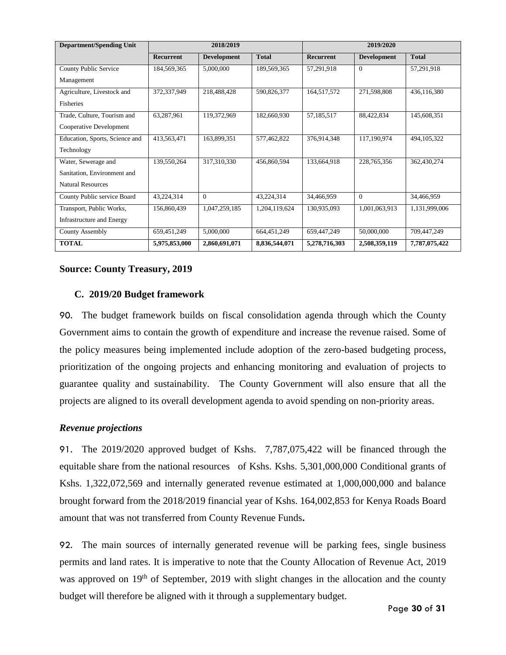| <b>Department/Spending Unit</b>  | 2018/2019        |                    |               | 2019/2020        |                    |               |
|----------------------------------|------------------|--------------------|---------------|------------------|--------------------|---------------|
|                                  | <b>Recurrent</b> | <b>Development</b> | <b>Total</b>  | <b>Recurrent</b> | <b>Development</b> | <b>Total</b>  |
| <b>County Public Service</b>     | 184,569,365      | 5,000,000          | 189,569,365   | 57,291,918       | $\theta$           | 57,291,918    |
| Management                       |                  |                    |               |                  |                    |               |
| Agriculture, Livestock and       | 372,337,949      | 218,488,428        | 590,826,377   | 164,517,572      | 271,598,808        | 436,116,380   |
| <b>Fisheries</b>                 |                  |                    |               |                  |                    |               |
| Trade, Culture, Tourism and      | 63,287,961       | 119,372,969        | 182,660,930   | 57,185,517       | 88,422,834         | 145,608,351   |
| Cooperative Development          |                  |                    |               |                  |                    |               |
| Education, Sports, Science and   | 413,563,471      | 163,899,351        | 577,462,822   | 376,914,348      | 117,190,974        | 494,105,322   |
| Technology                       |                  |                    |               |                  |                    |               |
| Water, Sewerage and              | 139,550,264      | 317,310,330        | 456,860,594   | 133,664,918      | 228,765,356        | 362,430,274   |
| Sanitation, Environment and      |                  |                    |               |                  |                    |               |
| <b>Natural Resources</b>         |                  |                    |               |                  |                    |               |
| County Public service Board      | 43,224,314       | $\theta$           | 43,224,314    | 34,466,959       | $\theta$           | 34,466,959    |
| Transport, Public Works,         | 156,860,439      | 1,047,259,185      | 1,204,119,624 | 130,935,093      | 1,001,063,913      | 1,131,999,006 |
| <b>Infrastructure and Energy</b> |                  |                    |               |                  |                    |               |
| County Assembly                  | 659,451,249      | 5,000,000          | 664,451,249   | 659,447,249      | 50,000,000         | 709,447,249   |
| <b>TOTAL</b>                     | 5,975,853,000    | 2,860,691,071      | 8,836,544,071 | 5,278,716,303    | 2,508,359,119      | 7,787,075,422 |

### <span id="page-29-0"></span>**Source: County Treasury, 2019**

### **C. 2019/20 Budget framework**

90. The budget framework builds on fiscal consolidation agenda through which the County Government aims to contain the growth of expenditure and increase the revenue raised. Some of the policy measures being implemented include adoption of the zero-based budgeting process, prioritization of the ongoing projects and enhancing monitoring and evaluation of projects to guarantee quality and sustainability. The County Government will also ensure that all the projects are aligned to its overall development agenda to avoid spending on non-priority areas.

### <span id="page-29-1"></span>*Revenue projections*

91. The 2019/2020 approved budget of Kshs. 7,787,075,422 will be financed through the equitable share from the national resources of Kshs. Kshs. 5,301,000,000 Conditional grants of Kshs. 1,322,072,569 and internally generated revenue estimated at 1,000,000,000 and balance brought forward from the 2018/2019 financial year of Kshs. 164,002,853 for Kenya Roads Board amount that was not transferred from County Revenue Funds**.** 

92. The main sources of internally generated revenue will be parking fees, single business permits and land rates. It is imperative to note that the County Allocation of Revenue Act, 2019 was approved on 19<sup>th</sup> of September, 2019 with slight changes in the allocation and the county budget will therefore be aligned with it through a supplementary budget.